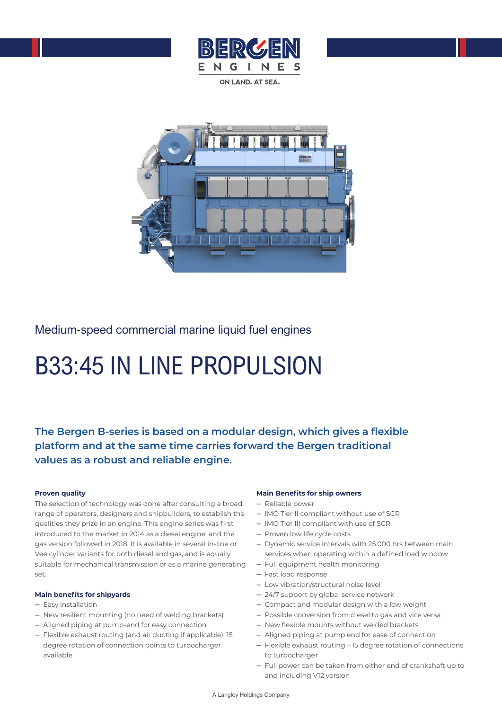

ON LAND AT SEA



Medium-speed commercial marine liquid fuel engines

# B33:45 IN LINE PROPULSION

**The Bergen B-series is based on a modular design, which gives a flexible platform and at the same time carries forward the Bergen traditional values as a robust and reliable engine.** 

### **Proven quality**

The selection of technology was done after consulting a broad range of operators, designers and shipbuilders, to establish the qualities they prize in an engine. This engine series was first introduced to the market in 2014 as a diesel engine, and the gas version followed in 2018. It is available in several in-line or Vee cylinder variants for both diesel and gas, and is equally suitable for mechanical transmission or as a marine generating set.

#### **Main benefits for shipyards**

- Easy installation
- New resilient mounting (no need of welding brackets)
- Aligned piping at pump-end for easy connection
- Flexible exhaust routing (and air ducting if applicable): 15 degree rotation of connection points to turbocharger available

#### **Main Benefits for ship owners**

- Reliable power
- IMO Tier II compliant without use of SCR
- IMO Tier III compliant with use of SCR
- Proven low life cycle costs
- Dynamic service intervals with 25.000 hrs between main services when operating within a defined load window
- Full equipment health monitoring
- Fast load response
- Low vibration/structural noise level
- 24/7 support by global service network
- Compact and modular design with a low weight
- Possible conversion from diesel to gas and vice versa
- New flexible mounts without welded brackets
- Aligned piping at pump end for ease of connection
- Flexible exhaust routing 15 degree rotation of connections to turbocharger
- Full power can be taken from either end of crankshaft up to and including V12 version